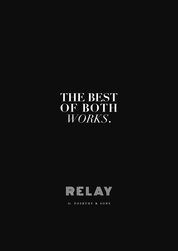## **THE BEST OF BOTH**  *WORKS***.**



by **FOSBURY** & SONS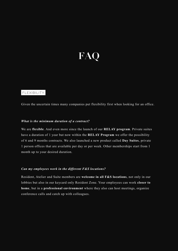# **FAQ**

### FLEXIBILITY

Given the uncertain times many companies put flexibility first when looking for an office.

#### *What is the minimum duration of a contract?*

We are **flexible**. And even more since the launch of our **RELAY program**. Private suites have a duration of 1 year but now within the **RELAY Program** we offer the possibility of 6 and 9 months contracts. We also launched a new product called **Day Suites**, private 1 person offices that are available per day or per week. Other memberships start from 1 month up to your desired duration.

#### *Can my employees work in the different F&S locations?*

Resident, Atelier and Suite members are **welcome in all F&S locations**, not only in our lobbies but also in our keycard only Resident Zone. Your employees can work **closer to home**, but in a **professional environment** where they also can host meetings, organize conference calls and catch up with colleagues.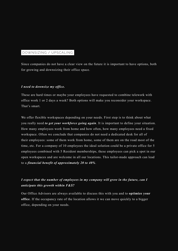## DOWNSIZING / UPSCALING

Since companies do not have a clear view on the future it is important to have options, both for growing and downsizing their office space.

#### *I need to downsize my office.*

These are hard times or maybe your employees have requested to combine telework with office work 1 or 2 days a week? Both options will make you reconsider your workspace. That's smart.

We offer flexible workspaces depending on your needs. First step is to think about what you really need *to get your workforce going again*. It is important to define your situation. How many employees work from home and how often, how many employees need a fixed workspace. Often we conclude that companies do not need a dedicated desk for all of their employees: some of them work from home, some of them are on the road most of the time, etc. For a company of 10 employees the ideal solution could be a private office for 5 employees combined with 5 Resident memberships, these employees can pick a spot in our open workspaces and are welcome in all our locations. This tailor-made approach can lead to a *financial benefit of approximately 20 to 40%*.

## *I expect that the number of employees in my company will grow in the future, can I anticipate this growth within F&S?*

Our Office Advisors are always available to discuss this with you and to **optimize your office**. If the occupancy rate of the location allows it we can move quickly to a bigger office, depending on your needs.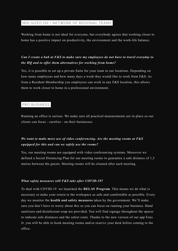#### MID-SIZED HQ + NETWORK OF REGIONAL TEAMS

Working from home is not ideal for everyone, but everybody agrees that working closer to home has a positive impact on productivity, the environment and the work-life balance.

## *Can I create a hub at F&S to make sure my employees do not have to travel everyday to the HQ and to offer them alternatives for working from home?*

Yes, it is possible to set up a private Suite for your team in our locations. Depending on how many employees and how many days a week they would like to work from F&S. As from a Resident Membership you employees can work in any F&S location, this allows them to work closer to home in a professional environment.

### PRO BUSINESS

Running an office is serious. We make sure all practical measurements are in place so our clients can focus - carefree - on their businesses.

## *We want to make more use of video conferencing. Are the meeting rooms at F&S equipped for this and can we safely use the rooms?*

Yes, our meeting rooms are equipped with video conferencing systems. Moreover we defined a Social Distancing Plan for our meeting rooms to guarantee a safe distance of 1,5 metres between the guests. Meeting rooms will be cleaned after each meeting.

#### *What safety measures will F&S take after COVID-19?*

To deal with COVID-19 we launched the **RELAY Program**. This means we do what is necessary to make your return to the workspace as safe and comfortable as possible. Every day we monitor the **health and safety measures** taken by the government. We'll make sure you don't have to worry about this so you can focus on running your business. Hand sanitizers and disinfectant soap are provided. You will find signage throughout the spaces to indicate safe distances and the safest route. Thanks to the new version of our app Fons Jr. you will be able to book meeting rooms and/or reserve your desk before coming to the office.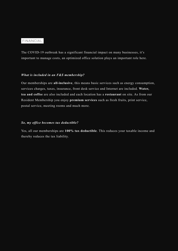## FINANCIAL

The COVID-19 outbreak has a significant financial impact on many businesses, it's important to manage costs, an optimized office solution plays an important role here.

#### *What is included in an F&S membership?*

Our memberships are **all-inclusive**, this means basic services such as energy consumption, services charges, taxes, insurance, front desk service and Internet are included. **Water, tea and coffee** are also included and each location has a **restaurant** on site. As from our Resident Membership you enjoy **premium services** such as fresh fruits, print service, postal service, meeting rooms and much more.

#### *So, my office becomes tax deductible?*

Yes, all our memberships are **100% tax deductible**. This reduces your taxable income and thereby reduces the tax liability.